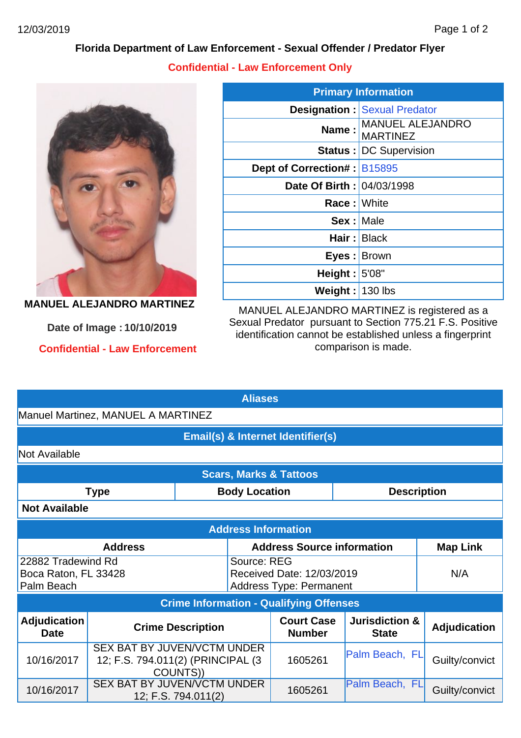## **Florida Department of Law Enforcement - Sexual Offender / Predator Flyer**

**Confidential - Law Enforcement Only**



**MANUEL ALEJANDRO MARTINEZ**

**Confidential - Law Enforcement Date of Image : 10/10/2019**

| <b>Primary Information</b>         |                                            |  |  |  |  |
|------------------------------------|--------------------------------------------|--|--|--|--|
|                                    | <b>Designation: Sexual Predator</b>        |  |  |  |  |
| Name:                              | <b>MANUEL ALEJANDRO</b><br><b>MARTINEZ</b> |  |  |  |  |
|                                    | Status : DC Supervision                    |  |  |  |  |
| <b>Dept of Correction#: B15895</b> |                                            |  |  |  |  |
| Date Of Birth : 04/03/1998         |                                            |  |  |  |  |
| <b>Race:</b> White                 |                                            |  |  |  |  |
| <b>Sex: Male</b>                   |                                            |  |  |  |  |
|                                    | Hair: Black                                |  |  |  |  |
| Eyes : Brown                       |                                            |  |  |  |  |
| Height: $5'08"$                    |                                            |  |  |  |  |
| Weight: $130$ lbs                  |                                            |  |  |  |  |

MANUEL ALEJANDRO MARTINEZ is registered as a Sexual Predator pursuant to Section 775.21 F.S. Positive identification cannot be established unless a fingerprint comparison is made.

| <b>Aliases</b>                                           |                                                                                     |                          |                                   |                                                             |                                                                |                     |  |  |  |  |
|----------------------------------------------------------|-------------------------------------------------------------------------------------|--------------------------|-----------------------------------|-------------------------------------------------------------|----------------------------------------------------------------|---------------------|--|--|--|--|
| Manuel Martinez, MANUEL A MARTINEZ                       |                                                                                     |                          |                                   |                                                             |                                                                |                     |  |  |  |  |
| Email(s) & Internet Identifier(s)                        |                                                                                     |                          |                                   |                                                             |                                                                |                     |  |  |  |  |
| Not Available                                            |                                                                                     |                          |                                   |                                                             |                                                                |                     |  |  |  |  |
| <b>Scars, Marks &amp; Tattoos</b>                        |                                                                                     |                          |                                   |                                                             |                                                                |                     |  |  |  |  |
| <b>Type</b><br><b>Body Location</b>                      |                                                                                     |                          | <b>Description</b>                |                                                             |                                                                |                     |  |  |  |  |
| <b>Not Available</b>                                     |                                                                                     |                          |                                   |                                                             |                                                                |                     |  |  |  |  |
| <b>Address Information</b>                               |                                                                                     |                          |                                   |                                                             |                                                                |                     |  |  |  |  |
| <b>Address</b>                                           |                                                                                     |                          | <b>Address Source information</b> | <b>Map Link</b>                                             |                                                                |                     |  |  |  |  |
| 22882 Tradewind Rd<br>Boca Raton, FL 33428<br>Palm Beach |                                                                                     |                          | Source: REG                       | Received Date: 12/03/2019<br><b>Address Type: Permanent</b> | N/A                                                            |                     |  |  |  |  |
| <b>Crime Information - Qualifying Offenses</b>           |                                                                                     |                          |                                   |                                                             |                                                                |                     |  |  |  |  |
| <b>Adjudication</b><br><b>Date</b>                       |                                                                                     | <b>Crime Description</b> |                                   |                                                             | <b>Court Case</b><br><b>Jurisdiction &amp;</b><br><b>State</b> | <b>Adjudication</b> |  |  |  |  |
| 10/16/2017                                               | <b>SEX BAT BY JUVEN/VCTM UNDER</b><br>12; F.S. 794.011(2) (PRINCIPAL (3<br>COUNTS)) |                          |                                   | 1605261                                                     | Palm Beach, FL                                                 | Guilty/convict      |  |  |  |  |
| 10/16/2017                                               | <b>SEX BAT BY JUVEN/VCTM UNDER</b><br>12; F.S. 794.011(2)                           |                          |                                   | 1605261                                                     | Palm Beach, FL                                                 | Guilty/convict      |  |  |  |  |